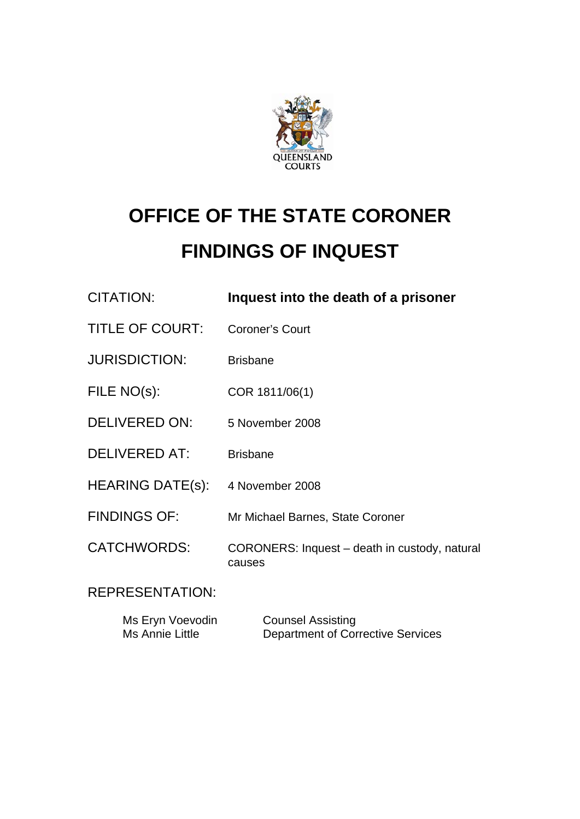

# **OFFICE OF THE STATE CORONER FINDINGS OF INQUEST**

| <b>CITATION:</b>       | Inquest into the death of a prisoner                    |
|------------------------|---------------------------------------------------------|
| <b>TITLE OF COURT:</b> | <b>Coroner's Court</b>                                  |
| <b>JURISDICTION:</b>   | <b>Brisbane</b>                                         |
| FILE NO(s):            | COR 1811/06(1)                                          |
| <b>DELIVERED ON:</b>   | 5 November 2008                                         |
| <b>DELIVERED AT:</b>   | <b>Brisbane</b>                                         |
| HEARING DATE(s):       | 4 November 2008                                         |
| <b>FINDINGS OF:</b>    | Mr Michael Barnes, State Coroner                        |
| <b>CATCHWORDS:</b>     | CORONERS: Inquest - death in custody, natural<br>causes |
| <b>REPRESENTATION:</b> |                                                         |
|                        |                                                         |

| Ms Eryn Voevodin | <b>Counsel Assisting</b>                 |
|------------------|------------------------------------------|
| Ms Annie Little  | <b>Department of Corrective Services</b> |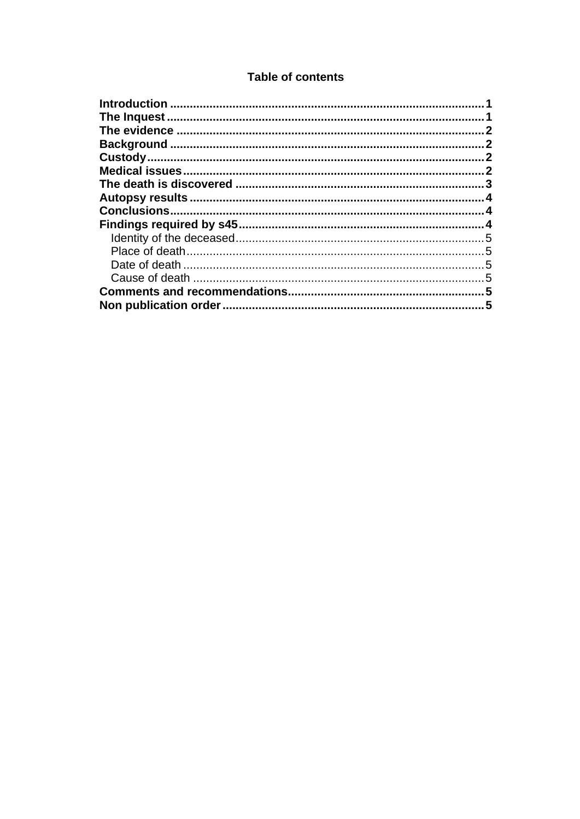# **Table of contents**

| 1 |
|---|
|   |
|   |
|   |
|   |
|   |
|   |
|   |
|   |
|   |
|   |
|   |
|   |
|   |
|   |
|   |
|   |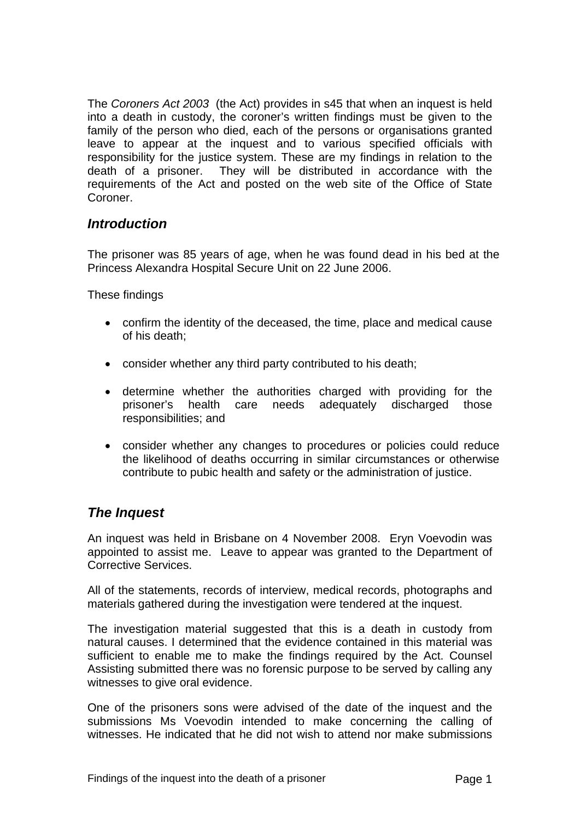<span id="page-2-0"></span>The *Coroners Act 2003* (the Act) provides in s45 that when an inquest is held into a death in custody, the coroner's written findings must be given to the family of the person who died, each of the persons or organisations granted leave to appear at the inquest and to various specified officials with responsibility for the justice system. These are my findings in relation to the death of a prisoner. They will be distributed in accordance with the requirements of the Act and posted on the web site of the Office of State Coroner.

## *Introduction*

The prisoner was 85 years of age, when he was found dead in his bed at the Princess Alexandra Hospital Secure Unit on 22 June 2006.

These findings

- confirm the identity of the deceased, the time, place and medical cause of his death;
- consider whether any third party contributed to his death;
- determine whether the authorities charged with providing for the prisoner's health care needs adequately discharged those responsibilities; and
- consider whether any changes to procedures or policies could reduce the likelihood of deaths occurring in similar circumstances or otherwise contribute to pubic health and safety or the administration of justice.

# *The Inquest*

An inquest was held in Brisbane on 4 November 2008. Eryn Voevodin was appointed to assist me. Leave to appear was granted to the Department of Corrective Services.

All of the statements, records of interview, medical records, photographs and materials gathered during the investigation were tendered at the inquest.

The investigation material suggested that this is a death in custody from natural causes. I determined that the evidence contained in this material was sufficient to enable me to make the findings required by the Act. Counsel Assisting submitted there was no forensic purpose to be served by calling any witnesses to give oral evidence.

One of the prisoners sons were advised of the date of the inquest and the submissions Ms Voevodin intended to make concerning the calling of witnesses. He indicated that he did not wish to attend nor make submissions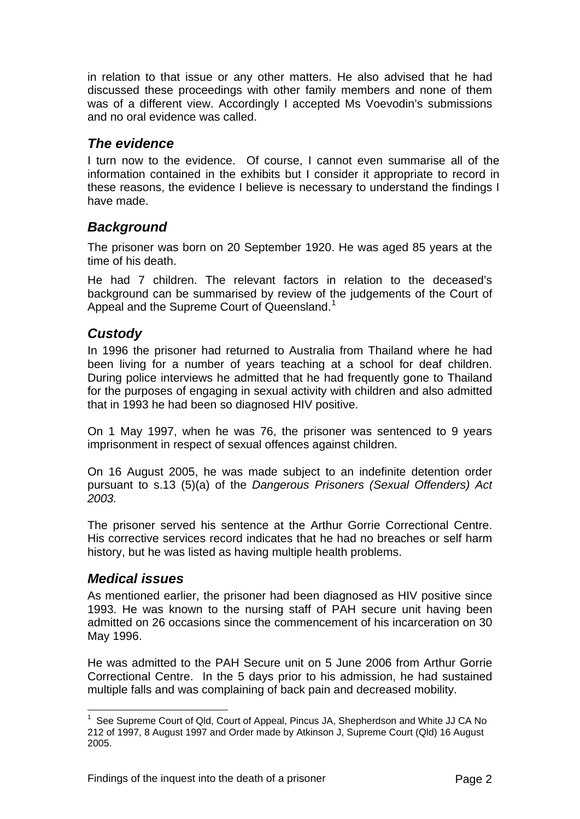<span id="page-3-0"></span>in relation to that issue or any other matters. He also advised that he had discussed these proceedings with other family members and none of them was of a different view. Accordingly I accepted Ms Voevodin's submissions and no oral evidence was called.

## *The evidence*

I turn now to the evidence. Of course, I cannot even summarise all of the information contained in the exhibits but I consider it appropriate to record in these reasons, the evidence I believe is necessary to understand the findings I have made.

## *Background*

The prisoner was born on 20 September 1920. He was aged 85 years at the time of his death.

He had 7 children. The relevant factors in relation to the deceased's background can be summarised by review of the judgements of the Court of Appeal and the Supreme Court of Queensland.<sup>[1](#page-3-1)</sup>

# *Custody*

In 1996 the prisoner had returned to Australia from Thailand where he had been living for a number of years teaching at a school for deaf children. During police interviews he admitted that he had frequently gone to Thailand for the purposes of engaging in sexual activity with children and also admitted that in 1993 he had been so diagnosed HIV positive.

On 1 May 1997, when he was 76, the prisoner was sentenced to 9 years imprisonment in respect of sexual offences against children.

On 16 August 2005, he was made subject to an indefinite detention order pursuant to s.13 (5)(a) of the *Dangerous Prisoners (Sexual Offenders) Act 2003.* 

The prisoner served his sentence at the Arthur Gorrie Correctional Centre. His corrective services record indicates that he had no breaches or self harm history, but he was listed as having multiple health problems.

## *Medical issues*

As mentioned earlier, the prisoner had been diagnosed as HIV positive since 1993. He was known to the nursing staff of PAH secure unit having been admitted on 26 occasions since the commencement of his incarceration on 30 May 1996.

He was admitted to the PAH Secure unit on 5 June 2006 from Arthur Gorrie Correctional Centre. In the 5 days prior to his admission, he had sustained multiple falls and was complaining of back pain and decreased mobility.

<span id="page-3-1"></span>l <sup>1</sup> See Supreme Court of Qld, Court of Appeal, Pincus JA, Shepherdson and White JJ CA No 212 of 1997, 8 August 1997 and Order made by Atkinson J, Supreme Court (Qld) 16 August 2005.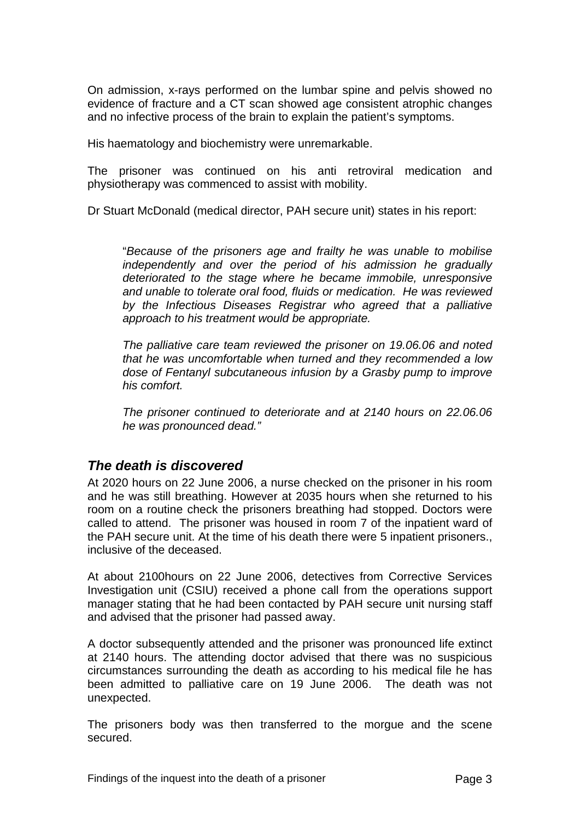<span id="page-4-0"></span>On admission, x-rays performed on the lumbar spine and pelvis showed no evidence of fracture and a CT scan showed age consistent atrophic changes and no infective process of the brain to explain the patient's symptoms.

His haematology and biochemistry were unremarkable.

The prisoner was continued on his anti retroviral medication and physiotherapy was commenced to assist with mobility.

Dr Stuart McDonald (medical director, PAH secure unit) states in his report:

"*Because of the prisoners age and frailty he was unable to mobilise independently and over the period of his admission he gradually deteriorated to the stage where he became immobile, unresponsive and unable to tolerate oral food, fluids or medication. He was reviewed by the Infectious Diseases Registrar who agreed that a palliative approach to his treatment would be appropriate.* 

*The palliative care team reviewed the prisoner on 19.06.06 and noted that he was uncomfortable when turned and they recommended a low dose of Fentanyl subcutaneous infusion by a Grasby pump to improve his comfort.* 

*The prisoner continued to deteriorate and at 2140 hours on 22.06.06 he was pronounced dead."*

## *The death is discovered*

At 2020 hours on 22 June 2006, a nurse checked on the prisoner in his room and he was still breathing. However at 2035 hours when she returned to his room on a routine check the prisoners breathing had stopped. Doctors were called to attend. The prisoner was housed in room 7 of the inpatient ward of the PAH secure unit. At the time of his death there were 5 inpatient prisoners., inclusive of the deceased.

At about 2100hours on 22 June 2006, detectives from Corrective Services Investigation unit (CSIU) received a phone call from the operations support manager stating that he had been contacted by PAH secure unit nursing staff and advised that the prisoner had passed away.

A doctor subsequently attended and the prisoner was pronounced life extinct at 2140 hours. The attending doctor advised that there was no suspicious circumstances surrounding the death as according to his medical file he has been admitted to palliative care on 19 June 2006. The death was not unexpected.

The prisoners body was then transferred to the morgue and the scene secured.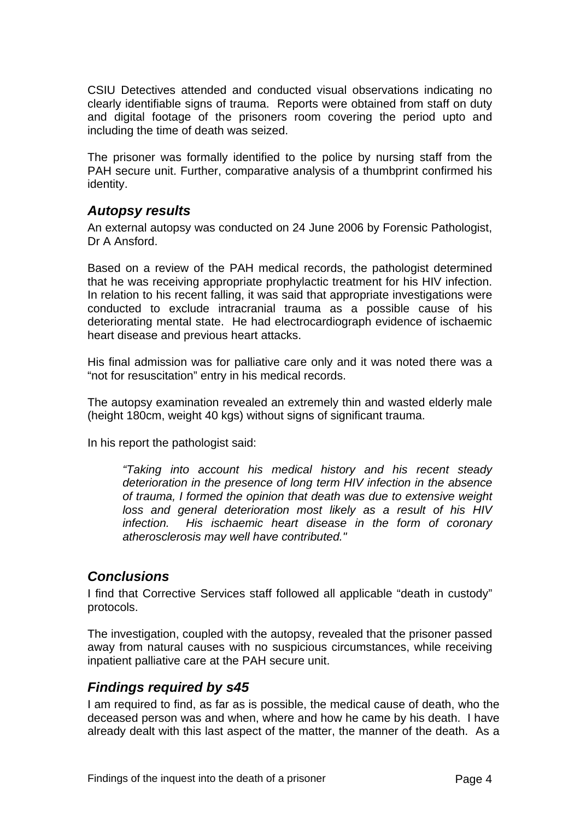<span id="page-5-0"></span>CSIU Detectives attended and conducted visual observations indicating no clearly identifiable signs of trauma. Reports were obtained from staff on duty and digital footage of the prisoners room covering the period upto and including the time of death was seized.

The prisoner was formally identified to the police by nursing staff from the PAH secure unit. Further, comparative analysis of a thumbprint confirmed his identity.

#### *Autopsy results*

An external autopsy was conducted on 24 June 2006 by Forensic Pathologist, Dr A Ansford.

Based on a review of the PAH medical records, the pathologist determined that he was receiving appropriate prophylactic treatment for his HIV infection. In relation to his recent falling, it was said that appropriate investigations were conducted to exclude intracranial trauma as a possible cause of his deteriorating mental state. He had electrocardiograph evidence of ischaemic heart disease and previous heart attacks.

His final admission was for palliative care only and it was noted there was a "not for resuscitation" entry in his medical records.

The autopsy examination revealed an extremely thin and wasted elderly male (height 180cm, weight 40 kgs) without signs of significant trauma.

In his report the pathologist said:

*"Taking into account his medical history and his recent steady deterioration in the presence of long term HIV infection in the absence of trauma, I formed the opinion that death was due to extensive weight loss and general deterioration most likely as a result of his HIV infection. His ischaemic heart disease in the form of coronary atherosclerosis may well have contributed."* 

## *Conclusions*

I find that Corrective Services staff followed all applicable "death in custody" protocols.

The investigation, coupled with the autopsy, revealed that the prisoner passed away from natural causes with no suspicious circumstances, while receiving inpatient palliative care at the PAH secure unit.

#### *Findings required by s45*

I am required to find, as far as is possible, the medical cause of death, who the deceased person was and when, where and how he came by his death. I have already dealt with this last aspect of the matter, the manner of the death. As a